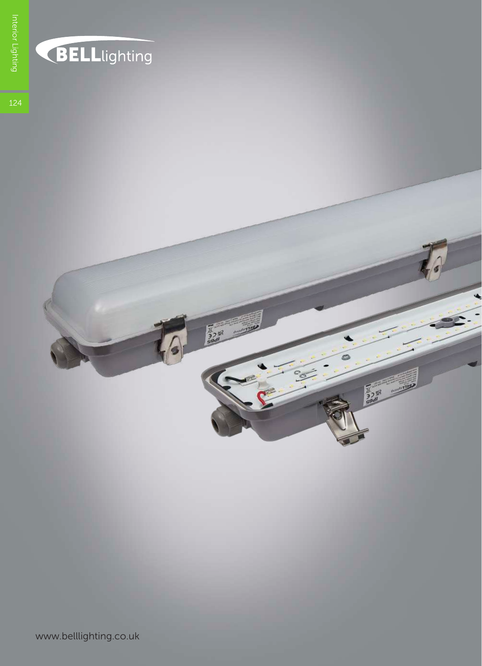

## **BELL**lighting

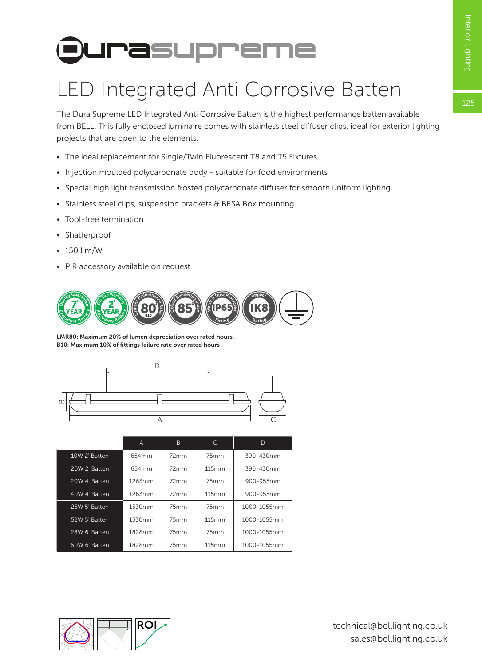# **Durasupreme**

### LED Integrated Anti Corrosive Batten

The Dura Supreme LED Integrated Anti Corrosive Batten is the highest performance batten available from BELL. This fully enclosed luminaire comes with stainless steel diffuser clips, ideal for exterior lighting projects that are open to the elements.

- The ideal replacement for Single/Twin Fluorescent T8 and T5 Fixtures
- Injection moulded polycarbonate body suitable for food environments
- Special high light transmission frosted polycarbonate diffuser for smooth uniform lighting
- Stainless steel clips, suspension brackets & BESA Box mounting
- Tool-free termination
- Shatterproof
- 150 Lm/W
- PIR accessory available on request



LMR80: Maximum 20% of lumen depreciation over rated hours. B10: Maximum 10% of fittings failure rate over rated hours



|               | A      | B    | C.    | D           |  |  |
|---------------|--------|------|-------|-------------|--|--|
| 10W 2' Batten | 654mm  | 72mm | 75mm  | 390-430mm   |  |  |
| 20W 2' Batten | 654mm  | 72mm | 115mm | 390-430mm   |  |  |
| 20W 4' Batten | 1263mm | 72mm | 75mm  | 900-955mm   |  |  |
| 40W 4' Batten | 1263mm | 72mm | 115mm | 900-955mm   |  |  |
| 25W 5' Batten | 1530mm | 75mm | 75mm  | 1000-1055mm |  |  |
| 52W 5' Batten | 1530mm | 75mm | 115mm | 1000-1055mm |  |  |
| 28W 6' Batten | 1828mm | 75mm | 75mm  | 1000-1055mm |  |  |
| 60W 6' Batten | 1828mm | 75mm | 115mm | 1000-1055mm |  |  |

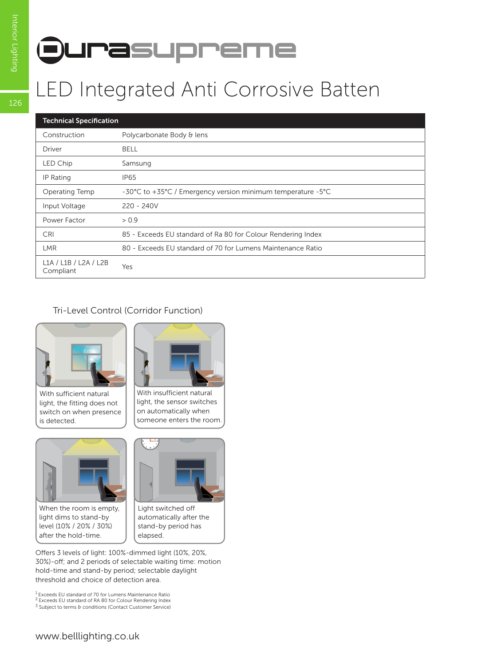# **Durasupreme**

#### LED Integrated Anti Corrosive Batten

| <b>Technical Specification</b>     |                                                              |  |  |  |  |
|------------------------------------|--------------------------------------------------------------|--|--|--|--|
| Construction                       | Polycarbonate Body & lens                                    |  |  |  |  |
| Driver                             | BELL                                                         |  |  |  |  |
| LED Chip                           | Samsung                                                      |  |  |  |  |
| IP Rating                          | <b>IP65</b>                                                  |  |  |  |  |
| Operating Temp                     | -30°C to +35°C / Emergency version minimum temperature -5°C  |  |  |  |  |
| Input Voltage                      | $220 - 240V$                                                 |  |  |  |  |
| Power Factor                       | > 0.9                                                        |  |  |  |  |
| <b>CRI</b>                         | 85 - Exceeds EU standard of Ra 80 for Colour Rendering Index |  |  |  |  |
| <b>LMR</b>                         | 80 - Exceeds EU standard of 70 for Lumens Maintenance Ratio  |  |  |  |  |
| L1A / L1B / L2A / L2B<br>Compliant | Yes                                                          |  |  |  |  |

#### Tri-Level Control (Corridor Function)



With sufficient natural light, the fitting does not switch on when presence is detected.



When the room is empty, light dims to stand-by level (10% / 20% / 30%) after the hold-time.



With insufficient natural light, the sensor switches on automatically when someone enters the room.



Light switched off automatically after the stand-by period has elapsed.

Offers 3 levels of light: 100%-dimmed light (10%, 20%, 30%)-off; and 2 periods of selectable waiting time: motion hold-time and stand-by period; selectable daylight threshold and choice of detection area.

1 Exceeds EU standard of 70 for Lumens Maintenance Ratio

2 Exceeds EU standard of RA 80 for Colour Rendering Index <sup>3</sup> Subject to terms & conditions (Contact Customer Service)

126